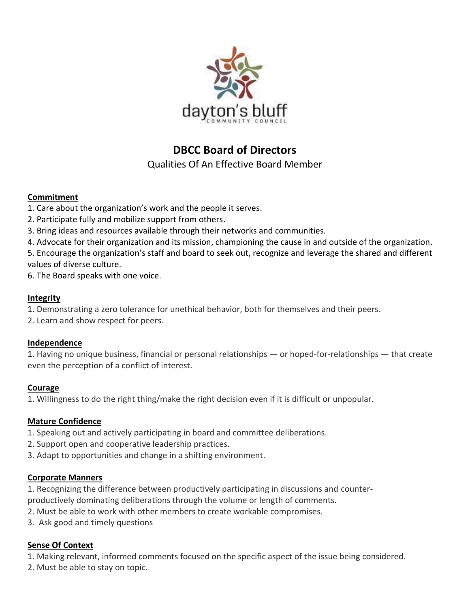

# **DBCC Board of Directors**

Qualities Of An Effective Board Member

#### **Commitment**

- 1. Care about the organization's work and the people it serves.
- 2. Participate fully and mobilize support from others.
- 3. Bring ideas and resources available through their networks and communities.

4. Advocate for their organization and its mission, championing the cause in and outside of the organization.

5. Encourage the organization's staff and board to seek out, recognize and leverage the shared and different values of diverse culture.

6. The Board speaks with one voice.

#### **Integrity**

- 1. Demonstrating a zero tolerance for unethical behavior, both for themselves and their peers.
- 2. Learn and show respect for peers.

# **Independence**

1. Having no unique business, financial or personal relationships — or hoped-for-relationships — that create even the perception of a conflict of interest.

# **Courage**

1. Willingness to do the right thing/make the right decision even if it is difficult or unpopular.

# **Mature Confidence**

- 1. Speaking out and actively participating in board and committee deliberations.
- 2. Support open and cooperative leadership practices.
- 3. Adapt to opportunities and change in a shifting environment.

#### **Corporate Manners**

1. Recognizing the difference between productively participating in discussions and counterproductively dominating deliberations through the volume or length of comments.

- 2. Must be able to work with other members to create workable compromises.
- 3. Ask good and timely questions

# **Sense Of Context**

1. Making relevant, informed comments focused on the specific aspect of the issue being considered.

2. Must be able to stay on topic.